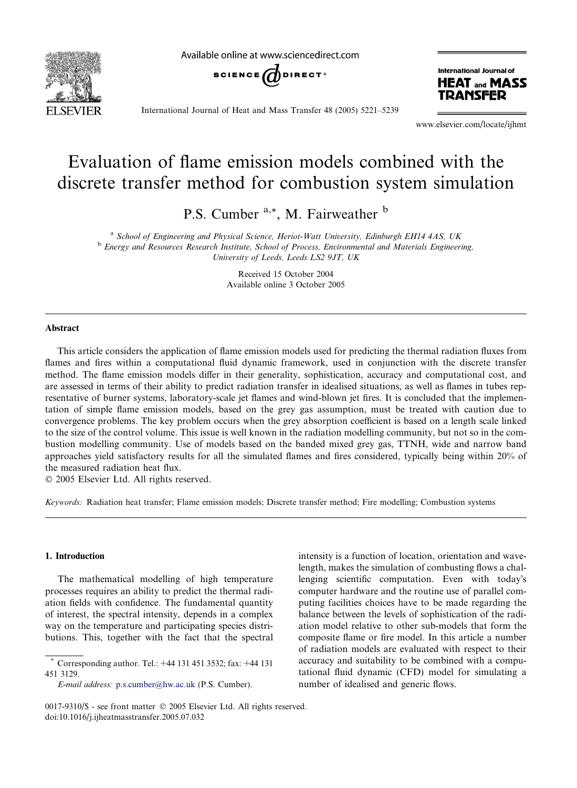

Available online at www.sciencedirect.com



International Journal of **HEAT and MASS** TRANSFER

International Journal of Heat and Mass Transfer 48 (2005) 5221–5239

www.elsevier.com/locate/ijhmt

## Evaluation of flame emission models combined with the discrete transfer method for combustion system simulation

P.S. Cumber <sup>a,\*</sup>, M. Fairweather <sup>b</sup>

<sup>a</sup> School of Engineering and Physical Science, Heriot-Watt University, Edinburgh EH14 4AS, UK <sup>b</sup> Energy and Resources Research Institute, School of Process, Environmental and Materials Engineering, University of Leeds, Leeds LS2 9JT, UK

> Received 15 October 2004 Available online 3 October 2005

## Abstract

This article considers the application of flame emission models used for predicting the thermal radiation fluxes from flames and fires within a computational fluid dynamic framework, used in conjunction with the discrete transfer method. The flame emission models differ in their generality, sophistication, accuracy and computational cost, and are assessed in terms of their ability to predict radiation transfer in idealised situations, as well as flames in tubes representative of burner systems, laboratory-scale jet flames and wind-blown jet fires. It is concluded that the implementation of simple flame emission models, based on the grey gas assumption, must be treated with caution due to convergence problems. The key problem occurs when the grey absorption coefficient is based on a length scale linked to the size of the control volume. This issue is well known in the radiation modelling community, but not so in the combustion modelling community. Use of models based on the banded mixed grey gas, TTNH, wide and narrow band approaches yield satisfactory results for all the simulated flames and fires considered, typically being within 20% of the measured radiation heat flux.

2005 Elsevier Ltd. All rights reserved.

Keywords: Radiation heat transfer; Flame emission models; Discrete transfer method; Fire modelling; Combustion systems

## 1. Introduction

The mathematical modelling of high temperature processes requires an ability to predict the thermal radiation fields with confidence. The fundamental quantity of interest, the spectral intensity, depends in a complex way on the temperature and participating species distributions. This, together with the fact that the spectral

intensity is a function of location, orientation and wavelength, makes the simulation of combusting flows a challenging scientific computation. Even with today's computer hardware and the routine use of parallel computing facilities choices have to be made regarding the balance between the levels of sophistication of the radiation model relative to other sub-models that form the composite flame or fire model. In this article a number of radiation models are evaluated with respect to their accuracy and suitability to be combined with a computational fluid dynamic (CFD) model for simulating a number of idealised and generic flows.

<sup>\*</sup> Corresponding author. Tel.: +44 131 451 3532; fax: +44 131 451 3129.

E-mail address: [p.s.cumber@hw.ac.uk](mailto:p.s.cumber@hw.ac.uk) (P.S. Cumber).

<sup>0017-9310/\$ -</sup> see front matter © 2005 Elsevier Ltd. All rights reserved. doi:10.1016/j.ijheatmasstransfer.2005.07.032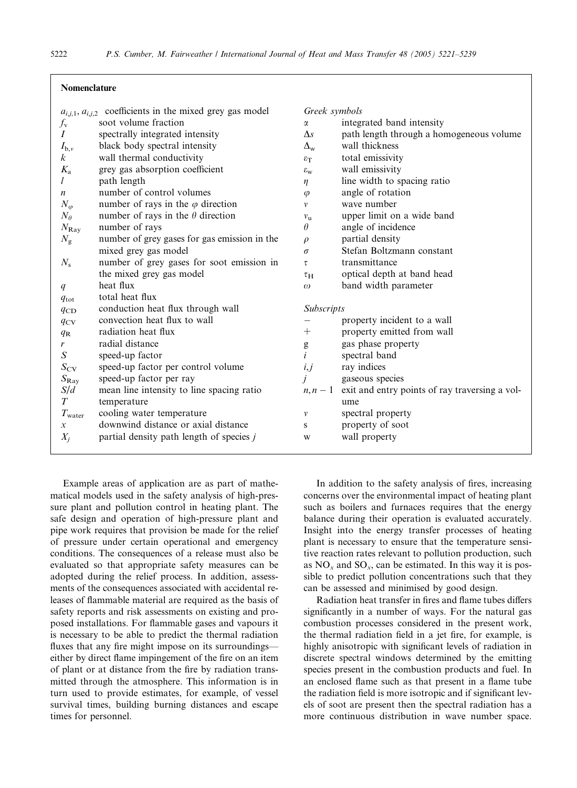| $a_{i,j,1}, a_{i,j,2}$ coefficients in the mixed grey gas model |                                              | Greek symbols         |                                                         |
|-----------------------------------------------------------------|----------------------------------------------|-----------------------|---------------------------------------------------------|
| $f_{\rm v}$                                                     | soot volume fraction                         | α                     | integrated band intensity                               |
| $\overline{I}$                                                  | spectrally integrated intensity              | $\Delta s$            | path length through a homogeneous volume                |
| $I_{\rm b, v}$                                                  | black body spectral intensity                | $\Delta_{\rm w}$      | wall thickness                                          |
| $\boldsymbol{k}$                                                | wall thermal conductivity                    | $\epsilon_T$          | total emissivity                                        |
| $K_{\rm a}$                                                     | grey gas absorption coefficient              | $\varepsilon_{\rm w}$ | wall emissivity                                         |
| l                                                               | path length                                  | $\eta$                | line width to spacing ratio                             |
| $\boldsymbol{n}$                                                | number of control volumes                    | $\varphi$             | angle of rotation                                       |
| $N_{\varphi}$                                                   | number of rays in the $\varphi$ direction    | v                     | wave number                                             |
| $N_{\theta}$                                                    | number of rays in the $\theta$ direction     | $v_{\rm u}$           | upper limit on a wide band                              |
| $N_{\rm{Ray}}$                                                  | number of rays                               | $\theta$              | angle of incidence                                      |
| $N_{\rm g}$                                                     | number of grey gases for gas emission in the | $\rho$                | partial density                                         |
|                                                                 | mixed grey gas model                         | $\sigma$              | Stefan Boltzmann constant                               |
| $N_{\rm s}$                                                     | number of grey gases for soot emission in    | τ                     | transmittance                                           |
|                                                                 | the mixed grey gas model                     | $\tau_H$              | optical depth at band head                              |
| q                                                               | heat flux                                    | $\omega$              | band width parameter                                    |
| $q_{\rm tot}$                                                   | total heat flux                              |                       |                                                         |
| $q_{CD}$                                                        | conduction heat flux through wall            | <b>Subscripts</b>     |                                                         |
| $q_{CV}$                                                        | convection heat flux to wall                 |                       | property incident to a wall                             |
| $q_{R}$                                                         | radiation heat flux                          | $^+$                  | property emitted from wall                              |
| r                                                               | radial distance                              | g                     | gas phase property                                      |
| S                                                               | speed-up factor                              | $\dot{i}$             | spectral band                                           |
| $S_{CV}$                                                        | speed-up factor per control volume           | i, j                  | ray indices                                             |
| $S_{\rm Ray}$                                                   | speed-up factor per ray                      | j                     | gaseous species                                         |
| S/d                                                             | mean line intensity to line spacing ratio    |                       | $n, n-1$ exit and entry points of ray traversing a vol- |
| T                                                               | temperature                                  |                       | ume                                                     |
| $T_{\text{water}}$                                              | cooling water temperature                    | v                     | spectral property                                       |
| $\mathcal{X}$                                                   | downwind distance or axial distance          | S                     | property of soot                                        |
| $X_i$                                                           | partial density path length of species $j$   | W                     | wall property                                           |
|                                                                 |                                              |                       |                                                         |

Example areas of application are as part of mathematical models used in the safety analysis of high-pressure plant and pollution control in heating plant. The safe design and operation of high-pressure plant and pipe work requires that provision be made for the relief of pressure under certain operational and emergency conditions. The consequences of a release must also be evaluated so that appropriate safety measures can be adopted during the relief process. In addition, assessments of the consequences associated with accidental releases of flammable material are required as the basis of safety reports and risk assessments on existing and proposed installations. For flammable gases and vapours it is necessary to be able to predict the thermal radiation fluxes that any fire might impose on its surroundings either by direct flame impingement of the fire on an item of plant or at distance from the fire by radiation transmitted through the atmosphere. This information is in turn used to provide estimates, for example, of vessel survival times, building burning distances and escape times for personnel.

In addition to the safety analysis of fires, increasing concerns over the environmental impact of heating plant such as boilers and furnaces requires that the energy balance during their operation is evaluated accurately. Insight into the energy transfer processes of heating plant is necessary to ensure that the temperature sensitive reaction rates relevant to pollution production, such as  $NO_x$  and  $SO_x$ , can be estimated. In this way it is possible to predict pollution concentrations such that they can be assessed and minimised by good design.

Radiation heat transfer in fires and flame tubes differs significantly in a number of ways. For the natural gas combustion processes considered in the present work, the thermal radiation field in a jet fire, for example, is highly anisotropic with significant levels of radiation in discrete spectral windows determined by the emitting species present in the combustion products and fuel. In an enclosed flame such as that present in a flame tube the radiation field is more isotropic and if significant levels of soot are present then the spectral radiation has a more continuous distribution in wave number space.

Nomenclature